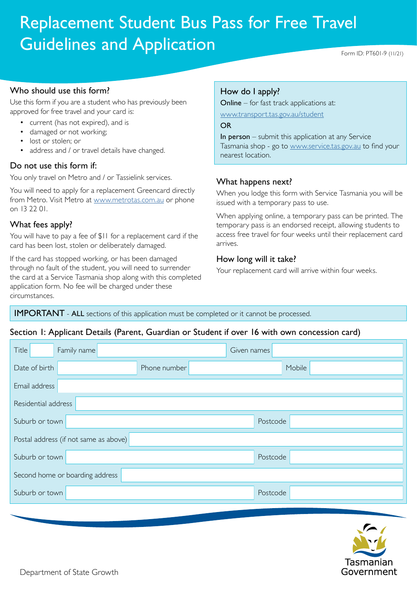# Replacement Student Bus Pass for Free Travel Guidelines and Application

#### Who should use this form?

Use this form if you are a student who has previously been approved for free travel and your card is:

- current (has not expired), and is
- damaged or not working;
- lost or stolen; or
- address and / or travel details have changed.

#### Do not use this form if:

You only travel on Metro and / or Tassielink services.

You will need to apply for a replacement Greencard directly from Metro. Visit Metro at [www.metrotas.com.au](http://www.metrotas.com.au) or phone on 13 22 01.

### What fees apply?

You will have to pay a fee of \$11 for a replacement card if the card has been lost, stolen or deliberately damaged.

If the card has stopped working, or has been damaged through no fault of the student, you will need to surrender the card at a Service Tasmania shop along with this completed application form. No fee will be charged under these circumstances.

# How do I apply?

Online – for fast track applications at:

www.transport.tas.gov.au/student

OR

In person  $-$  submit this application at any Service Tasmania shop - go to [www.service.tas.gov.au](http://www.service.tas.gov.au) to find your nearest location.

### What happens next?

When you lodge this form with Service Tasmania you will be issued with a temporary pass to use.

When applying online, a temporary pass can be printed. The temporary pass is an endorsed receipt, allowing students to access free travel for four weeks until their replacement card arrives.

### How long will it take?

Your replacement card will arrive within four weeks.

IMPORTANT - ALL sections of this application must be completed or it cannot be processed.

# Section 1: Applicant Details (Parent, Guardian or Student if over 16 with own concession card)

| Title<br>Family name                  |              | Given names |        |
|---------------------------------------|--------------|-------------|--------|
| Date of birth                         | Phone number |             | Mobile |
| Email address                         |              |             |        |
| Residential address                   |              |             |        |
| Suburb or town                        |              | Postcode    |        |
| Postal address (if not same as above) |              |             |        |
| Suburb or town                        |              | Postcode    |        |
| Second home or boarding address       |              |             |        |
| Suburb or town                        |              | Postcode    |        |
|                                       |              |             |        |